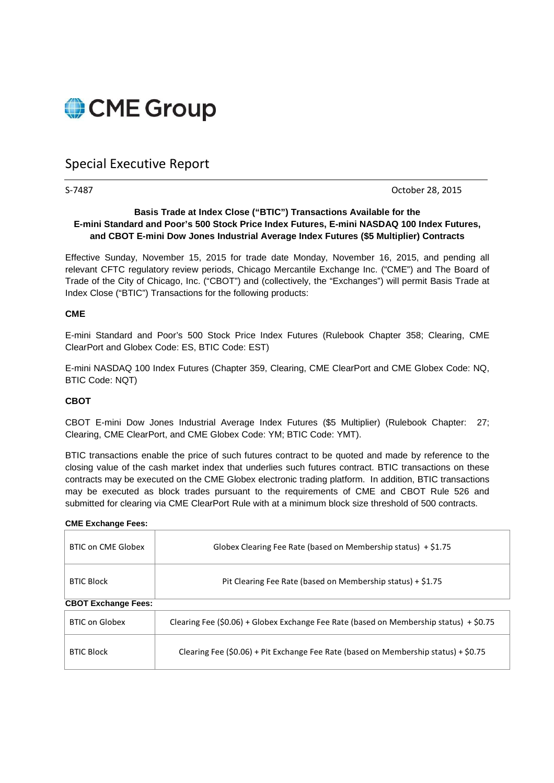

# Special Executive Report

S-7487 October 28, 2015

### **Basis Trade at Index Close ("BTIC") Transactions Available for the E-mini Standard and Poor's 500 Stock Price Index Futures, E-mini NASDAQ 100 Index Futures, and CBOT E-mini Dow Jones Industrial Average Index Futures (\$5 Multiplier) Contracts**

Effective Sunday, November 15, 2015 for trade date Monday, November 16, 2015, and pending all relevant CFTC regulatory review periods, Chicago Mercantile Exchange Inc. ("CME") and The Board of Trade of the City of Chicago, Inc. ("CBOT") and (collectively, the "Exchanges") will permit Basis Trade at Index Close ("BTIC") Transactions for the following products:

#### **CME**

E-mini Standard and Poor's 500 Stock Price Index Futures (Rulebook Chapter 358; Clearing, CME ClearPort and Globex Code: ES, BTIC Code: EST)

E-mini NASDAQ 100 Index Futures (Chapter 359, Clearing, CME ClearPort and CME Globex Code: NQ, BTIC Code: NQT)

### **CBOT**

CBOT E-mini Dow Jones Industrial Average Index Futures (\$5 Multiplier) (Rulebook Chapter: 27; Clearing, CME ClearPort, and CME Globex Code: YM; BTIC Code: YMT).

BTIC transactions enable the price of such futures contract to be quoted and made by reference to the closing value of the cash market index that underlies such futures contract. BTIC transactions on these contracts may be executed on the CME Globex electronic trading platform. In addition, BTIC transactions may be executed as block trades pursuant to the requirements of CME and CBOT Rule 526 and submitted for clearing via CME ClearPort Rule with at a minimum block size threshold of 500 contracts.

#### **CME Exchange Fees:**

| BTIC on CME Globex         | Globex Clearing Fee Rate (based on Membership status) + \$1.75                         |
|----------------------------|----------------------------------------------------------------------------------------|
| <b>BTIC Block</b>          | Pit Clearing Fee Rate (based on Membership status) + \$1.75                            |
| <b>CBOT Exchange Fees:</b> |                                                                                        |
| <b>BTIC on Globex</b>      | Clearing Fee (\$0.06) + Globex Exchange Fee Rate (based on Membership status) + \$0.75 |
| <b>BTIC Block</b>          | Clearing Fee (\$0.06) + Pit Exchange Fee Rate (based on Membership status) + \$0.75    |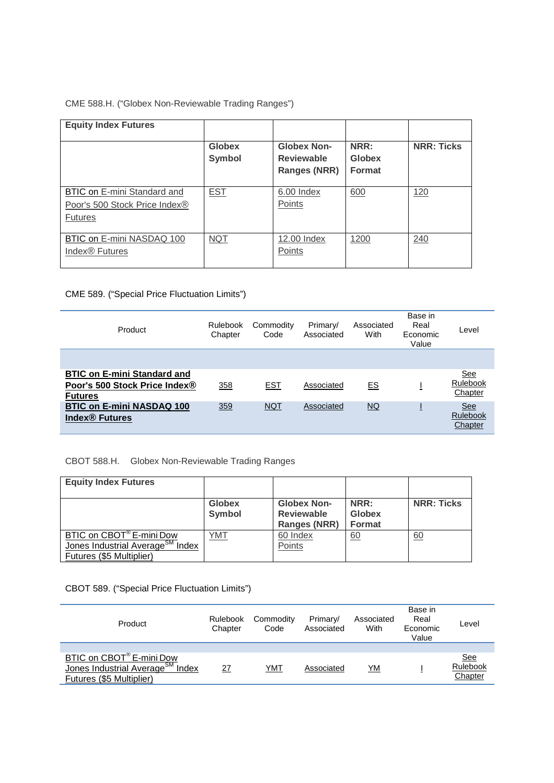# CME 588.H. ("Globex Non-Reviewable Trading Ranges")

| <b>Equity Index Futures</b>                     |                         |                                                         |                                        |                   |
|-------------------------------------------------|-------------------------|---------------------------------------------------------|----------------------------------------|-------------------|
|                                                 | <b>Globex</b><br>Symbol | <b>Globex Non-</b><br><b>Reviewable</b><br>Ranges (NRR) | NRR:<br><b>Globex</b><br><b>Format</b> | <b>NRR: Ticks</b> |
|                                                 |                         |                                                         |                                        |                   |
| BTIC on E-mini Standard and                     | <b>EST</b>              | 6.00 Index                                              | 600                                    | 120               |
| Poor's 500 Stock Price Index®<br><b>Futures</b> |                         | Points                                                  |                                        |                   |
|                                                 |                         |                                                         |                                        |                   |
| BTIC on E-mini NASDAQ 100                       | <b>NQT</b>              | 12.00 Index                                             | 1200                                   | 240               |
| Index <sup>®</sup> Futures                      |                         | Points                                                  |                                        |                   |
|                                                 |                         |                                                         |                                        |                   |

# CME 589. ("Special Price Fluctuation Limits")

| Product                                                                               | Rulebook<br>Chapter | Commodity<br>Code | Primary/<br>Associated | Associated<br>With | Base in<br>Real<br>Economic<br>Value | Level                                    |
|---------------------------------------------------------------------------------------|---------------------|-------------------|------------------------|--------------------|--------------------------------------|------------------------------------------|
| <b>BTIC on E-mini Standard and</b><br>Poor's 500 Stock Price Index®<br><b>Futures</b> | 358                 | <u>EST</u>        | Associated             | E.S                |                                      | <u>See</u><br>Rulebook<br>Chapter        |
| <b>BTIC on E-mini NASDAQ 100</b><br><b>Index<sup>®</sup></b> Futures                  | 359                 | <b>NQT</b>        | Associated             | NQ                 |                                      | <b>See</b><br><b>Rulebook</b><br>Chapter |

CBOT 588.H. Globex Non-Reviewable Trading Ranges

| <b>Equity Index Futures</b>                                                                                      |                                |                                                                |                                 |                   |
|------------------------------------------------------------------------------------------------------------------|--------------------------------|----------------------------------------------------------------|---------------------------------|-------------------|
|                                                                                                                  | <b>Globex</b><br><b>Symbol</b> | <b>Globex Non-</b><br><b>Reviewable</b><br><b>Ranges (NRR)</b> | NRR:<br>Globex<br><b>Format</b> | <b>NRR: Ticks</b> |
| BTIC on CBOT <sup>®</sup> E-mini Dow<br>Jones Industrial Average <sup>SM</sup> Index<br>Futures (\$5 Multiplier) | YMT                            | 60 Index<br>Points                                             | 60                              | 60                |

CBOT 589. ("Special Price Fluctuation Limits")

| Product                                                                                              | Rulebook<br>Chapter | Commodity<br>Code | Primary/<br>Associated | Associated<br>With | Base in<br>Real<br>Economic<br>Value | Level                             |
|------------------------------------------------------------------------------------------------------|---------------------|-------------------|------------------------|--------------------|--------------------------------------|-----------------------------------|
| BTIC on CBOT® E-mini Dow<br>Jones Industrial Average <sup>SM</sup> Index<br>Futures (\$5 Multiplier) | 27                  | YMT               | Associated             | <u>YM</u>          |                                      | <u>See</u><br>Rulebook<br>Chapter |